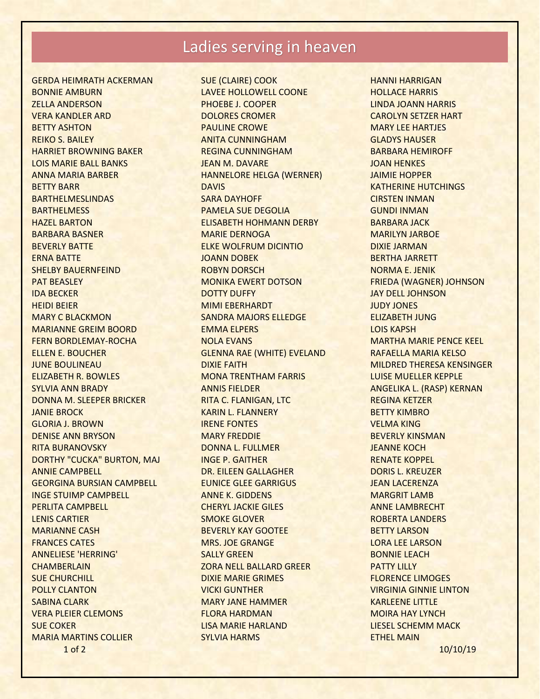## Ladies serving in heaven

1 of 2 10/10/19 GERDA HEIMRATH ACKERMAN BONNIE AMBURN ZELLA ANDERSON VERA KANDLER ARD BETTY ASHTON REIKO S. BAILEY HARRIET BROWNING BAKER LOIS MARIE BALL BANKS ANNA MARIA BARBER BETTY BARR BARTHELMESLINDAS **BARTHELMESS** HAZEL BARTON BARBARA BASNER BEVERLY BATTE ERNA BATTE SHELBY BAUERNFEIND PAT BEASLEY IDA BECKER HEIDI BEIER MARY C BLACKMON MARIANNE GREIM BOORD FERN BORDLEMAY-ROCHA ELLEN E. BOUCHER JUNE BOULINEAU ELIZABETH R. BOWLES SYLVIA ANN BRADY DONNA M. SLEEPER BRICKER JANIE BROCK GLORIA J. BROWN DENISE ANN BRYSON RITA BURANOVSKY DORTHY "CUCKA" BURTON, MAJ ANNIE CAMPBELL GEORGINA BURSIAN CAMPBELL INGE STUIMP CAMPBELL PERLITA CAMPBELL LENIS CARTIER MARIANNE CASH FRANCES CATES ANNELIESE 'HERRING' **CHAMBERLAIN** SUE CHURCHILL POLLY CLANTON SABINA CLARK VERA PLEIER CLEMONS SUE COKER MARIA MARTINS COLLIER

SUE (CLAIRE) COOK LAVEE HOLLOWELL COONE PHOEBE J. COOPER DOLORES CROMER PAULINE CROWE ANITA CUNNINGHAM REGINA CUNNINGHAM JEAN M. DAVARE HANNELORE HELGA (WERNER) DAVIS SARA DAYHOFF PAMELA SUE DEGOLIA ELISABETH HOHMANN DERBY MARIE DERNOGA ELKE WOLFRUM DICINTIO JOANN DOBEK ROBYN DORSCH MONIKA EWERT DOTSON DOTTY DUFFY MIMI EBERHARDT SANDRA MAJORS ELLEDGE EMMA ELPERS NOLA EVANS GLENNA RAE (WHITE) EVELAND DIXIE FAITH MONA TRENTHAM FARRIS ANNIS FIELDER RITA C. FLANIGAN, LTC KARIN L. FLANNERY IRENE FONTES MARY FREDDIE DONNA L. FULLMER INGE P. GAITHER DR. EILEEN GALLAGHER EUNICE GLEE GARRIGUS ANNE K. GIDDENS CHERYL JACKIE GILES SMOKE GLOVER BEVERLY KAY GOOTEE MRS. JOE GRANGE SALLY GREEN ZORA NELL BALLARD GREER DIXIE MARIE GRIMES VICKI GUNTHER MARY JANE HAMMER FLORA HARDMAN LISA MARIE HARLAND SYLVIA HARMS

HANNI HARRIGAN HOLLACE HARRIS LINDA JOANN HARRIS CAROLYN SETZER HART MARY LEE HARTJES GLADYS HAUSER BARBARA HEMIROFF JOAN HENKES JAIMIE HOPPER KATHERINE HUTCHINGS CIRSTEN INMAN GUNDI INMAN BARBARA JACK MARILYN JARBOE DIXIE JARMAN BERTHA JARRETT NORMA E. JENIK FRIEDA (WAGNER) JOHNSON JAY DELL JOHNSON JUDY JONES ELIZABETH JUNG LOIS KAPSH MARTHA MARIE PENCE KEEL RAFAELLA MARIA KELSO MILDRED THERESA KENSINGER LUISE MUELLER KEPPLE ANGELIKA L. (RASP) KERNAN REGINA KETZER BETTY KIMBRO VELMA KING BEVERLY KINSMAN JEANNE KOCH RENATE KOPPEL DORIS L. KREUZER JEAN LACERENZA MARGRIT LAMB ANNE LAMBRECHT ROBERTA LANDERS BETTY LARSON LORA LEE LARSON BONNIE LEACH PATTY LILLY FLORENCE LIMOGES VIRGINIA GINNIE LINTON KARLEENE LITTLE MOIRA HAY LYNCH LIESEL SCHEMM MACK ETHEL MAIN